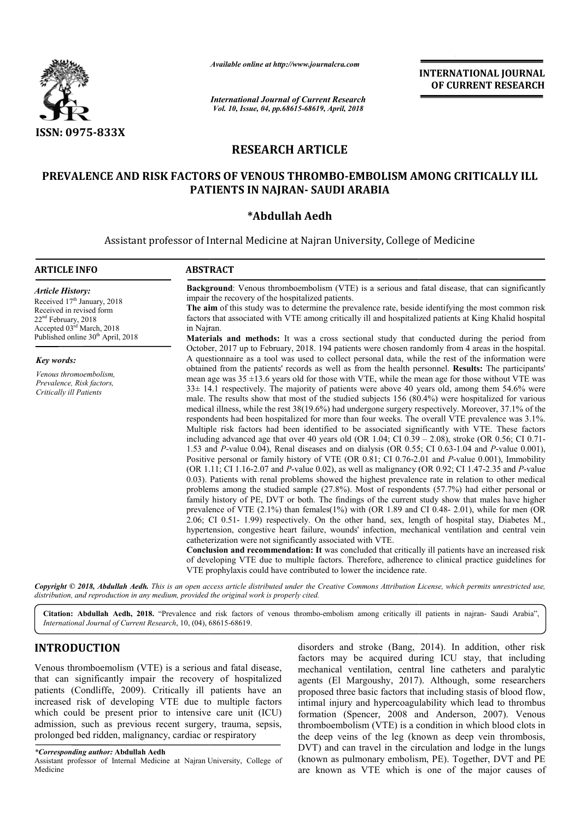

*Available online at http://www.journalcra.com*

# **RESEARCH ARTICLE**

## **PREVALENCE AND RISK FACTORS OF VENOUS THROM THROMBO-EMBOLISM AMONG CRITICALLY ILL EMBOLISM CRITICALLY ILL PATIENTS IN NAJRAN NAJRAN- SAUDI ARABIA**

## **\*Abdullah Aedh**

|                                                                                                                                                                                                                                                                                                                                                                                                                                                                                                             | unuvic viime ui nup.//www.jvurnuicru.com                                                                                                       |                                                                     | <b>INTERNATIONAL JOURNAL</b><br>OF CURRENT RESEARCH                                                                                                                                                                                                                                                                                                                                                                                                                                                                                                                                                                                                                                                                                                                                                                                                                                                                                                                                                                                                                                                                                                                                                                                                                                                                                                                                                                                                                                                                                                                                                                                                                                                                                                                                                                                                                                                                                                                                                                               |
|-------------------------------------------------------------------------------------------------------------------------------------------------------------------------------------------------------------------------------------------------------------------------------------------------------------------------------------------------------------------------------------------------------------------------------------------------------------------------------------------------------------|------------------------------------------------------------------------------------------------------------------------------------------------|---------------------------------------------------------------------|-----------------------------------------------------------------------------------------------------------------------------------------------------------------------------------------------------------------------------------------------------------------------------------------------------------------------------------------------------------------------------------------------------------------------------------------------------------------------------------------------------------------------------------------------------------------------------------------------------------------------------------------------------------------------------------------------------------------------------------------------------------------------------------------------------------------------------------------------------------------------------------------------------------------------------------------------------------------------------------------------------------------------------------------------------------------------------------------------------------------------------------------------------------------------------------------------------------------------------------------------------------------------------------------------------------------------------------------------------------------------------------------------------------------------------------------------------------------------------------------------------------------------------------------------------------------------------------------------------------------------------------------------------------------------------------------------------------------------------------------------------------------------------------------------------------------------------------------------------------------------------------------------------------------------------------------------------------------------------------------------------------------------------------|
|                                                                                                                                                                                                                                                                                                                                                                                                                                                                                                             | <b>International Journal of Current Research</b><br>Vol. 10, Issue, 04, pp.68615-68619, April, 2018                                            |                                                                     |                                                                                                                                                                                                                                                                                                                                                                                                                                                                                                                                                                                                                                                                                                                                                                                                                                                                                                                                                                                                                                                                                                                                                                                                                                                                                                                                                                                                                                                                                                                                                                                                                                                                                                                                                                                                                                                                                                                                                                                                                                   |
| <b>ISSN: 0975-833X</b>                                                                                                                                                                                                                                                                                                                                                                                                                                                                                      |                                                                                                                                                |                                                                     |                                                                                                                                                                                                                                                                                                                                                                                                                                                                                                                                                                                                                                                                                                                                                                                                                                                                                                                                                                                                                                                                                                                                                                                                                                                                                                                                                                                                                                                                                                                                                                                                                                                                                                                                                                                                                                                                                                                                                                                                                                   |
|                                                                                                                                                                                                                                                                                                                                                                                                                                                                                                             | <b>RESEARCH ARTICLE</b>                                                                                                                        |                                                                     |                                                                                                                                                                                                                                                                                                                                                                                                                                                                                                                                                                                                                                                                                                                                                                                                                                                                                                                                                                                                                                                                                                                                                                                                                                                                                                                                                                                                                                                                                                                                                                                                                                                                                                                                                                                                                                                                                                                                                                                                                                   |
|                                                                                                                                                                                                                                                                                                                                                                                                                                                                                                             | PREVALENCE AND RISK FACTORS OF VENOUS THROMBO-EMBOLISM AMONG CRITICALLY ILL<br>PATIENTS IN NAJRAN- SAUDI ARABIA                                |                                                                     |                                                                                                                                                                                                                                                                                                                                                                                                                                                                                                                                                                                                                                                                                                                                                                                                                                                                                                                                                                                                                                                                                                                                                                                                                                                                                                                                                                                                                                                                                                                                                                                                                                                                                                                                                                                                                                                                                                                                                                                                                                   |
|                                                                                                                                                                                                                                                                                                                                                                                                                                                                                                             | *Abdullah Aedh                                                                                                                                 |                                                                     |                                                                                                                                                                                                                                                                                                                                                                                                                                                                                                                                                                                                                                                                                                                                                                                                                                                                                                                                                                                                                                                                                                                                                                                                                                                                                                                                                                                                                                                                                                                                                                                                                                                                                                                                                                                                                                                                                                                                                                                                                                   |
|                                                                                                                                                                                                                                                                                                                                                                                                                                                                                                             | Assistant professor of Internal Medicine at Najran University, College of Medicine                                                             |                                                                     |                                                                                                                                                                                                                                                                                                                                                                                                                                                                                                                                                                                                                                                                                                                                                                                                                                                                                                                                                                                                                                                                                                                                                                                                                                                                                                                                                                                                                                                                                                                                                                                                                                                                                                                                                                                                                                                                                                                                                                                                                                   |
| <b>ARTICLE INFO</b>                                                                                                                                                                                                                                                                                                                                                                                                                                                                                         | <b>ABSTRACT</b>                                                                                                                                |                                                                     |                                                                                                                                                                                                                                                                                                                                                                                                                                                                                                                                                                                                                                                                                                                                                                                                                                                                                                                                                                                                                                                                                                                                                                                                                                                                                                                                                                                                                                                                                                                                                                                                                                                                                                                                                                                                                                                                                                                                                                                                                                   |
| <b>Article History:</b><br>Received 17 <sup>th</sup> January, 2018<br>Received in revised form<br>22 <sup>nd</sup> February, 2018<br>Accepted 03rd March, 2018                                                                                                                                                                                                                                                                                                                                              | impair the recovery of the hospitalized patients.<br>in Najran.                                                                                |                                                                     | <b>Background:</b> Venous thromboembolism (VTE) is a serious and fatal disease, that can significantly<br>The aim of this study was to determine the prevalence rate, beside identifying the most common risk<br>factors that associated with VTE among critically ill and hospitalized patients at King Khalid hospital                                                                                                                                                                                                                                                                                                                                                                                                                                                                                                                                                                                                                                                                                                                                                                                                                                                                                                                                                                                                                                                                                                                                                                                                                                                                                                                                                                                                                                                                                                                                                                                                                                                                                                          |
| Published online 30 <sup>th</sup> April, 2018<br>Key words:                                                                                                                                                                                                                                                                                                                                                                                                                                                 |                                                                                                                                                |                                                                     | Materials and methods: It was a cross sectional study that conducted during the period from<br>October, 2017 up to February, 2018. 194 patients were chosen randomly from 4 areas in the hospital.<br>A questionnaire as a tool was used to collect personal data, while the rest of the information were                                                                                                                                                                                                                                                                                                                                                                                                                                                                                                                                                                                                                                                                                                                                                                                                                                                                                                                                                                                                                                                                                                                                                                                                                                                                                                                                                                                                                                                                                                                                                                                                                                                                                                                         |
| Venous thromoembolism,<br>Prevalence, Risk factors,<br>Critically ill Patients                                                                                                                                                                                                                                                                                                                                                                                                                              | catheterization were not significantly associated with VTE.                                                                                    | VTE prophylaxis could have contributed to lower the incidence rate. | obtained from the patients' records as well as from the health personnel. Results: The participants'<br>mean age was $35 \pm 13.6$ years old for those with VTE, while the mean age for those without VTE was<br>$33\pm 14.1$ respectively. The majority of patients were above 40 years old, among them 54.6% were<br>male. The results show that most of the studied subjects 156 (80.4%) were hospitalized for various<br>medical illness, while the rest 38(19.6%) had undergone surgery respectively. Moreover, 37.1% of the<br>respondents had been hospitalized for more than four weeks. The overall VTE prevalence was 3.1%.<br>Multiple risk factors had been identified to be associated significantly with VTE. These factors<br>including advanced age that over 40 years old (OR $1.04$ ; CI $0.39 - 2.08$ ), stroke (OR $0.56$ ; CI $0.71$ -<br>1.53 and P-value 0.04), Renal diseases and on dialysis (OR $0.55$ ; CI $0.63$ -1.04 and P-value 0.001),<br>Positive personal or family history of VTE (OR 0.81; CI 0.76-2.01 and P-value 0.001), Immobility<br>(OR 1.11; CI 1.16-2.07 and P-value 0.02), as well as malignancy (OR 0.92; CI 1.47-2.35 and P-value<br>0.03). Patients with renal problems showed the highest prevalence rate in relation to other medical<br>problems among the studied sample (27.8%). Most of respondents (57.7%) had either personal or<br>family history of PE, DVT or both. The findings of the current study show that males have higher<br>prevalence of VTE $(2.1\%)$ than females $(1\%)$ with (OR 1.89 and CI 0.48-2.01), while for men (OR<br>2.06; CI 0.51-1.99) respectively. On the other hand, sex, length of hospital stay, Diabetes M.,<br>hypertension, congestive heart failure, wounds' infection, mechanical ventilation and central vein<br><b>Conclusion and recommendation: It</b> was concluded that critically ill patients have an increased risk<br>of developing VTE due to multiple factors. Therefore, adherence to clinical practice guidelines for |
|                                                                                                                                                                                                                                                                                                                                                                                                                                                                                                             | distribution, and reproduction in any medium, provided the original work is properly cited.                                                    |                                                                     | Copyright © 2018, Abdullah Aedh. This is an open access article distributed under the Creative Commons Attribution License, which permits unrestricted use,                                                                                                                                                                                                                                                                                                                                                                                                                                                                                                                                                                                                                                                                                                                                                                                                                                                                                                                                                                                                                                                                                                                                                                                                                                                                                                                                                                                                                                                                                                                                                                                                                                                                                                                                                                                                                                                                       |
| International Journal of Current Research, 10, (04), 68615-68619.                                                                                                                                                                                                                                                                                                                                                                                                                                           | Citation: Abdullah Aedh, 2018. "Prevalence and risk factors of venous thrombo-embolism among critically ill patients in najran- Saudi Arabia", |                                                                     |                                                                                                                                                                                                                                                                                                                                                                                                                                                                                                                                                                                                                                                                                                                                                                                                                                                                                                                                                                                                                                                                                                                                                                                                                                                                                                                                                                                                                                                                                                                                                                                                                                                                                                                                                                                                                                                                                                                                                                                                                                   |
| <b>INTRODUCTION</b><br>Venous thromboemolism (VTE) is a serious and fatal disease,<br>that can significantly impair the recovery of hospitalized<br>patients (Condliffe, 2009). Critically ill patients have an<br>increased risk of developing VTE due to multiple factors<br>which could be present prior to intensive care unit (ICU)<br>admission, such as previous recent surgery, trauma, sepsis,<br>prolonged bed ridden, malignancy, cardiac or respiratory<br>*Corresponding author: Abdullah Aedh |                                                                                                                                                |                                                                     | disorders and stroke (Bang, 2014). In addition, other risk<br>factors may be acquired during ICU stay, that including<br>mechanical ventilation, central line catheters and paralytic<br>agents (El Margoushy, 2017). Although, some researchers<br>proposed three basic factors that including stasis of blood flow,<br>intimal injury and hypercoagulability which lead to thrombus<br>formation (Spencer, 2008 and Anderson, 2007). Venous<br>thromboembolism (VTE) is a condition in which blood clots in<br>the deep veins of the leg (known as deep vein thrombosis,<br>DVT) and can travel in the circulation and lodge in the lungs                                                                                                                                                                                                                                                                                                                                                                                                                                                                                                                                                                                                                                                                                                                                                                                                                                                                                                                                                                                                                                                                                                                                                                                                                                                                                                                                                                                       |
| Assistant professor of Internal Medicine at Najran University, College of<br>Medicine                                                                                                                                                                                                                                                                                                                                                                                                                       |                                                                                                                                                |                                                                     | (known as pulmonary embolism, PE). Together, DVT and PE<br>are known as VTE which is one of the major causes of                                                                                                                                                                                                                                                                                                                                                                                                                                                                                                                                                                                                                                                                                                                                                                                                                                                                                                                                                                                                                                                                                                                                                                                                                                                                                                                                                                                                                                                                                                                                                                                                                                                                                                                                                                                                                                                                                                                   |

## **INTRODUCTION**

### *\*Corresponding author:* **Abdullah Aedh**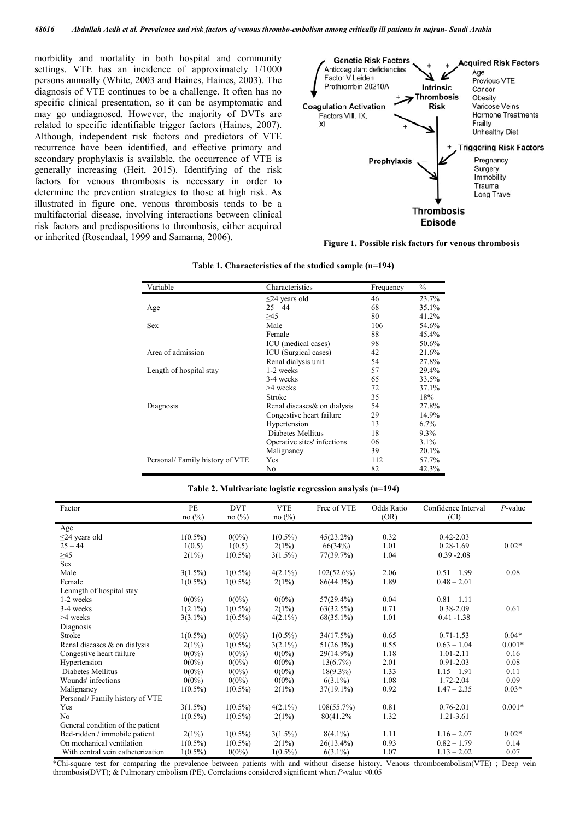morbidity and mortality in both hospital and community settings. VTE has an incidence of approximately 1/1000 persons annually (White, 2003 and Haines, Haines, 2003). The diagnosis of VTE continues to be a challenge. It often has no specific clinical presentation, so it can be asymptomatic and may go undiagnosed. However, the majority of DVTs are related to specific identifiable trigger factors (Haines, 2007). Although, independent risk factors and predictors of VTE recurrence have been identified, and effective primary and secondary prophylaxis is available, the occurrence of VTE is generally increasing (Heit, 2015). Identifying of the risk factors for venous thrombosis is necessary in order to determine the prevention strategies to those at high risk. As illustrated in figure one, venous thrombosis tends to be a multifactorial disease, involving interactions between clinical risk factors and predispositions to thrombosis, either acquired or inherited (Rosendaal, 1999 and Samama, 2006). **Figure 1. Possible risk factors for venous thrombosis**



| Variable                       | Characteristics              | Frequency | $\%$     |
|--------------------------------|------------------------------|-----------|----------|
|                                | $\leq$ 24 years old          | 46        | 23.7%    |
| Age                            | $25 - 44$                    | 68        | 35.1%    |
|                                | >45                          | 80        | 41.2%    |
| <b>Sex</b>                     | Male                         | 106       | 54.6%    |
|                                | Female                       | 88        | $45.4\%$ |
|                                | ICU (medical cases)          | 98        | 50.6%    |
| Area of admission              | ICU (Surgical cases)         | 42        | 21.6%    |
|                                | Renal dialysis unit          | 54        | 27.8%    |
| Length of hospital stay        | 1-2 weeks                    | 57        | 29.4%    |
|                                | 3-4 weeks                    | 65        | 33.5%    |
|                                | $>4$ weeks                   | 72        | 37.1%    |
|                                | Stroke                       | 35        | 18%      |
| Diagnosis                      | Renal diseases & on dialysis | 54        | 27.8%    |
|                                | Congestive heart failure     | 29        | 14.9%    |
|                                | Hypertension                 | 13        | $6.7\%$  |
|                                | Diabetes Mellitus            | 18        | 9.3%     |
|                                | Operative sites' infections  | 06        | $3.1\%$  |
|                                | Malignancy                   | 39        | 20.1%    |
| Personal/Family history of VTE | Yes                          | 112       | 57.7%    |
|                                | No                           | 82        | 42.3%    |

#### **Table 1. Characteristics of the studied sample (n=194)**

#### **Table 2. Multivariate logistic regression analysis (n=194)**

| Factor                            | PE         | <b>DVT</b> | <b>VTE</b> | Free of VTE   | Odds Ratio | Confidence Interval | $P$ -value |
|-----------------------------------|------------|------------|------------|---------------|------------|---------------------|------------|
|                                   | no(%)      | no(%)      | no(%)      |               | (OR)       | (CI)                |            |
| Age                               |            |            |            |               |            |                     |            |
| $\leq$ 24 years old               | $1(0.5\%)$ | $0(0\%)$   | $1(0.5\%)$ | $45(23.2\%)$  | 0.32       | $0.42 - 2.03$       |            |
| $25 - 44$                         | 1(0.5)     | 1(0.5)     | 2(1%)      | 66(34%)       | 1.01       | $0.28 - 1.69$       | $0.02*$    |
| $\geq 45$                         | 2(1%)      | $1(0.5\%)$ | $3(1.5\%)$ | 77(39.7%)     | 1.04       | $0.39 - 2.08$       |            |
| <b>Sex</b>                        |            |            |            |               |            |                     |            |
| Male                              | $3(1.5\%)$ | $1(0.5\%)$ | $4(2.1\%)$ | $102(52.6\%)$ | 2.06       | $0.51 - 1.99$       | 0.08       |
| Female                            | $1(0.5\%)$ | $1(0.5\%)$ | 2(1%)      | 86(44.3%)     | 1.89       | $0.48 - 2.01$       |            |
| Lenmgth of hospital stay          |            |            |            |               |            |                     |            |
| 1-2 weeks                         | $0(0\%)$   | $0(0\%)$   | $0(0\%)$   | $57(29.4\%)$  | 0.04       | $0.81 - 1.11$       |            |
| 3-4 weeks                         | $1(2.1\%)$ | $1(0.5\%)$ | 2(1%)      | 63(32.5%)     | 0.71       | 0.38-2.09           | 0.61       |
| >4 weeks                          | $3(3.1\%)$ | $1(0.5\%)$ | $4(2.1\%)$ | $68(35.1\%)$  | 1.01       | $0.41 - 1.38$       |            |
| Diagnosis                         |            |            |            |               |            |                     |            |
| Stroke                            | $1(0.5\%)$ | $0(0\%)$   | $1(0.5\%)$ | 34(17.5%)     | 0.65       | $0.71 - 1.53$       | $0.04*$    |
| Renal diseases $\&$ on dialysis   | 2(1%)      | $1(0.5\%)$ | $3(2.1\%)$ | 51(26.3%)     | 0.55       | $0.63 - 1.04$       | $0.001*$   |
| Congestive heart failure          | $0(0\%)$   | $0(0\%)$   | $0(0\%)$   | 29(14.9%)     | 1.18       | $1.01 - 2.11$       | 0.16       |
| Hypertension                      | $0(0\%)$   | $0(0\%)$   | $0(0\%)$   | $13(6.7\%)$   | 2.01       | $0.91 - 2.03$       | 0.08       |
| Diabetes Mellitus                 | $0(0\%)$   | $0(0\%)$   | $0(0\%)$   | $18(9.3\%)$   | 1.33       | $1.15 - 1.91$       | 0.11       |
| Wounds' infections                | $0(0\%)$   | $0(0\%)$   | $0(0\%)$   | $6(3.1\%)$    | 1.08       | 1.72-2.04           | 0.09       |
| Malignancy                        | $1(0.5\%)$ | $1(0.5\%)$ | 2(1%)      | $37(19.1\%)$  | 0.92       | $1.47 - 2.35$       | $0.03*$    |
| Personal/Family history of VTE    |            |            |            |               |            |                     |            |
| Yes                               | $3(1.5\%)$ | $1(0.5\%)$ | $4(2.1\%)$ | 108(55.7%)    | 0.81       | $0.76 - 2.01$       | $0.001*$   |
| N <sub>0</sub>                    | $1(0.5\%)$ | $1(0.5\%)$ | 2(1%)      | 80(41.2%)     | 1.32       | 1.21-3.61           |            |
| General condition of the patient  |            |            |            |               |            |                     |            |
| Bed-ridden / immobile patient     | 2(1%)      | $1(0.5\%)$ | $3(1.5\%)$ | $8(4.1\%)$    | 1.11       | $1.16 - 2.07$       | $0.02*$    |
| On mechanical ventilation         | $1(0.5\%)$ | $1(0.5\%)$ | 2(1%)      | $26(13.4\%)$  | 0.93       | $0.82 - 1.79$       | 0.14       |
| With central vein catheterization | $1(0.5\%)$ | $0(0\%)$   | $1(0.5\%)$ | $6(3.1\%)$    | 1.07       | $1.13 - 2.02$       | 0.07       |

\*Chi-square test for comparing the prevalence between patients with and without disease history. Venous thromboembolism(VTE) ; Deep vein thrombosis(DVT); & Pulmonary embolism (PE). Correlations considered significant when *P*-value <0.05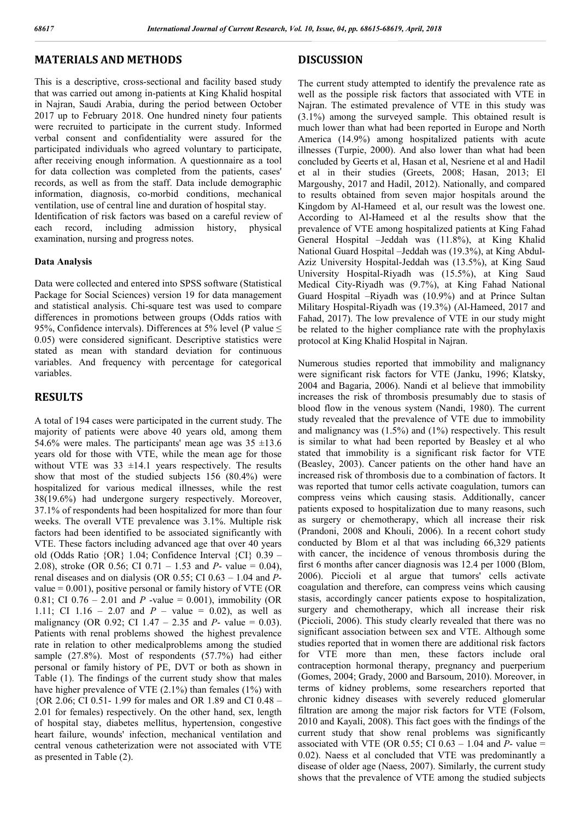## **MATERIALS AND METHODS**

This is a descriptive, cross-sectional and facility based study that was carried out among in-patients at King Khalid hospital in Najran, Saudi Arabia, during the period between October 2017 up to February 2018. One hundred ninety four patients were recruited to participate in the current study. Informed verbal consent and confidentiality were assured for the participated individuals who agreed voluntary to participate, after receiving enough information. A questionnaire as a tool for data collection was completed from the patients, cases' records, as well as from the staff. Data include demographic information, diagnosis, co-morbid conditions, mechanical ventilation, use of central line and duration of hospital stay.

Identification of risk factors was based on a careful review of each record, including admission history, physical examination, nursing and progress notes.

#### **Data Analysis**

Data were collected and entered into SPSS software (Statistical Package for Social Sciences) version 19 for data management and statistical analysis. Chi-square test was used to compare differences in promotions between groups (Odds ratios with 95%, Confidence intervals). Differences at 5% level (P value  $\leq$ 0.05) were considered significant. Descriptive statistics were stated as mean with standard deviation for continuous variables. And frequency with percentage for categorical variables.

### **RESULTS**

A total of 194 cases were participated in the current study. The majority of patients were above 40 years old, among them 54.6% were males. The participants' mean age was  $35 \pm 13.6$ years old for those with VTE, while the mean age for those without VTE was  $33 \pm 14.1$  years respectively. The results show that most of the studied subjects 156 (80.4%) were hospitalized for various medical illnesses, while the rest 38(19.6%) had undergone surgery respectively. Moreover, 37.1% of respondents had been hospitalized for more than four weeks. The overall VTE prevalence was 3.1%. Multiple risk factors had been identified to be associated significantly with VTE. These factors including advanced age that over 40 years old (Odds Ratio {OR} 1.04; Confidence Interval {CI} 0.39 – 2.08), stroke (OR 0.56; CI 0.71 – 1.53 and *P*- value = 0.04), renal diseases and on dialysis (OR 0.55; CI 0.63 – 1.04 and *P*value  $= 0.001$ ), positive personal or family history of VTE (OR 0.81; CI  $0.76 - 2.01$  and *P* -value = 0.001), immobility (OR 1.11; CI 1.16 – 2.07 and  $P$  – value = 0.02), as well as malignancy (OR 0.92; CI 1.47 – 2.35 and *P*- value = 0.03). Patients with renal problems showed the highest prevalence rate in relation to other medicalproblems among the studied sample (27.8%). Most of respondents (57.7%) had either personal or family history of PE, DVT or both as shown in Table (1). The findings of the current study show that males have higher prevalence of VTE (2.1%) than females (1%) with {OR 2.06; CI 0.51- 1.99 for males and OR 1.89 and CI 0.48 – 2.01 for females) respectively. On the other hand, sex, length of hospital stay, diabetes mellitus, hypertension, congestive heart failure, wounds' infection, mechanical ventilation and central venous catheterization were not associated with VTE as presented in Table (2).

### **DISCUSSION**

The current study attempted to identify the prevalence rate as well as the possiple risk factors that associated with VTE in Najran. The estimated prevalence of VTE in this study was (3.1%) among the surveyed sample. This obtained result is much lower than what had been reported in Europe and North America (14.9%) among hospitalized patients with acute illnesses (Turpie, 2000). And also lower than what had been concluded by Geerts et al, Hasan et al, Nesriene et al and Hadil et al in their studies (Greets, 2008; Hasan, 2013; El Margoushy, 2017 and Hadil, 2012). Nationally, and compared to results obtained from seven major hospitals around the Kingdom by Al-Hameed et al, our result was the lowest one. According to Al-Hameed et al the results show that the prevalence of VTE among hospitalized patients at King Fahad General Hospital –Jeddah was (11.8%), at King Khalid National Guard Hospital –Jeddah was (19.3%), at King Abdul-Aziz University Hospital-Jeddah was (13.5%), at King Saud University Hospital-Riyadh was (15.5%), at King Saud Medical City-Riyadh was (9.7%), at King Fahad National Guard Hospital –Riyadh was (10.9%) and at Prince Sultan Military Hospital-Riyadh was (19.3%) (Al-Hameed, 2017 and Fahad, 2017). The low prevalence of VTE in our study might be related to the higher compliance rate with the prophylaxis protocol at King Khalid Hospital in Najran.

Numerous studies reported that immobility and malignancy were significant risk factors for VTE (Janku, 1996; Klatsky, 2004 and Bagaria, 2006). Nandi et al believe that immobility increases the risk of thrombosis presumably due to stasis of blood flow in the venous system (Nandi, 1980). The current study revealed that the prevalence of VTE due to immobility and malignancy was (1.5%) and (1%) respectively. This result is similar to what had been reported by Beasley et al who stated that immobility is a significant risk factor for VTE (Beasley, 2003). Cancer patients on the other hand have an increased risk of thrombosis due to a combination of factors. It was reported that tumor cells activate coagulation, tumors can compress veins which causing stasis. Additionally, cancer patients exposed to hospitalization due to many reasons, such as surgery or chemotherapy, which all increase their risk (Prandoni, 2008 and Khouli, 2006). In a recent cohort study conducted by Blom et al that was including 66,329 patients with cancer, the incidence of venous thrombosis during the first 6 months after cancer diagnosis was 12.4 per 1000 (Blom, 2006). Piccioli et al argue that tumors' cells activate coagulation and therefore, can compress veins which causing stasis, accordingly cancer patients expose to hospitalization, surgery and chemotherapy, which all increase their risk (Piccioli, 2006). This study clearly revealed that there was no significant association between sex and VTE. Although some studies reported that in women there are additional risk factors for VTE more than men, these factors include oral contraception hormonal therapy, pregnancy and puerperium (Gomes, 2004; Grady, 2000 and Barsoum, 2010). Moreover, in terms of kidney problems, some researchers reported that chronic kidney diseases with severely reduced glomerular filtration are among the major risk factors for VTE (Folsom, 2010 and Kayali, 2008). This fact goes with the findings of the current study that show renal problems was significantly associated with VTE (OR 0.55; CI  $0.63 - 1.04$  and  $P$ - value = 0.02). Naess et al concluded that VTE was predominantly a disease of older age (Naess, 2007). Similarly, the current study shows that the prevalence of VTE among the studied subjects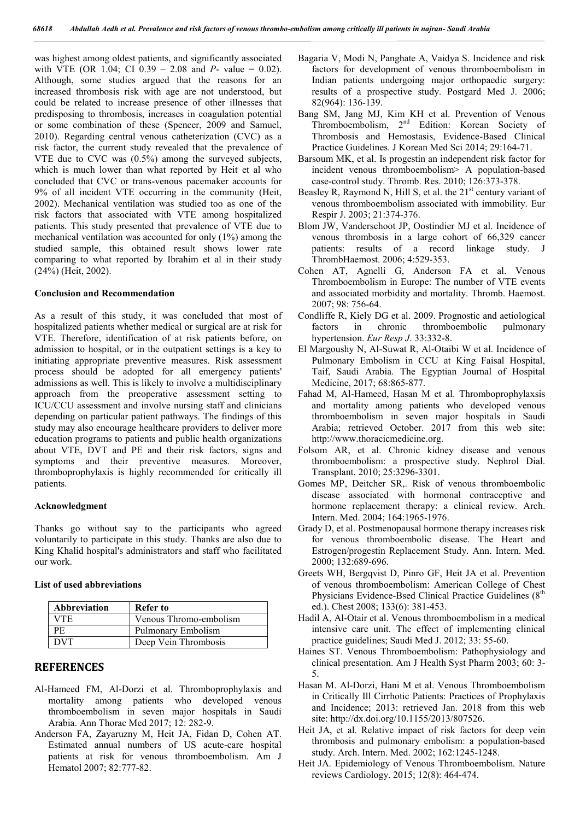was highest among oldest patients, and significantly associated with VTE (OR 1.04; CI 0.39 – 2.08 and *P*- value = 0.02). Although, some studies argued that the reasons for an increased thrombosis risk with age are not understood, but could be related to increase presence of other illnesses that predisposing to thrombosis, increases in coagulation potential or some combination of these (Spencer, 2009 and Samuel, 2010). Regarding central venous catheterization (CVC) as a risk factor, the current study revealed that the prevalence of VTE due to CVC was (0.5%) among the surveyed subjects, which is much lower than what reported by Heit et al who concluded that CVC or trans-venous pacemaker accounts for 9% of all incident VTE occurring in the community (Heit, 2002). Mechanical ventilation was studied too as one of the risk factors that associated with VTE among hospitalized patients. This study presented that prevalence of VTE due to mechanical ventilation was accounted for only (1%) among the studied sample, this obtained result shows lower rate comparing to what reported by Ibrahim et al in their study (24%) (Heit, 2002).

#### **Conclusion and Recommendation**

As a result of this study, it was concluded that most of hospitalized patients whether medical or surgical are at risk for VTE. Therefore, identification of at risk patients before, on admission to hospital, or in the outpatient settings is a key to initiating appropriate preventive measures. Risk assessment process should be adopted for all emergency patients' admissions as well. This is likely to involve a multidisciplinary approach from the preoperative assessment setting to ICU/CCU assessment and involve nursing staff and clinicians depending on particular patient pathways. The findings of this study may also encourage healthcare providers to deliver more education programs to patients and public health organizations about VTE, DVT and PE and their risk factors, signs and symptoms and their preventive measures. Moreover, thromboprophylaxis is highly recommended for critically ill patients.

#### **Acknowledgment**

Thanks go without say to the participants who agreed voluntarily to participate in this study. Thanks are also due to King Khalid hospital's administrators and staff who facilitated our work.

#### **List of used abbreviations**

| <b>Abbreviation</b> | Refer to               |
|---------------------|------------------------|
| VTE.                | Venous Thromo-embolism |
| РF                  | Pulmonary Embolism     |
| DVT                 | Deep Vein Thrombosis   |

### **REFERENCES**

- Al-Hameed FM, Al-Dorzi et al. Thromboprophylaxis and mortality among patients who developed venous thromboembolism in seven major hospitals in Saudi Arabia. Ann Thorac Med 2017; 12: 282-9.
- Anderson FA, Zayaruzny M, Heit JA, Fidan D, Cohen AT. Estimated annual numbers of US acute-care hospital patients at risk for venous thromboembolism. Am J Hematol 2007; 82:777-82.
- Bagaria V, Modi N, Panghate A, Vaidya S. Incidence and risk factors for development of venous thromboembolism in Indian patients undergoing major orthopaedic surgery: results of a prospective study. Postgard Med J. 2006; 82(964): 136-139.
- Bang SM, Jang MJ, Kim KH et al. Prevention of Venous Thromboembolism, 2nd Edition: Korean Society of Thrombosis and Hemostasis, Evidence-Based Clinical Practice Guidelines. J Korean Med Sci 2014; 29:164-71.
- Barsoum MK, et al. Is progestin an independent risk factor for incident venous thromboembolism> A population-based case-control study. Thromb. Res. 2010; 126:373-378.
- Beasley R, Raymond N, Hill S, et al. the  $21<sup>st</sup>$  century variant of venous thromboembolism associated with immobility. Eur Respir J. 2003; 21:374-376.
- Blom JW, Vanderschoot JP, Oostindier MJ et al. Incidence of venous thrombosis in a large cohort of 66,329 cancer patients: results of a record linkage study. J ThrombHaemost. 2006; 4:529-353.
- Cohen AT, Agnelli G, Anderson FA et al. Venous Thromboembolism in Europe: The number of VTE events and associated morbidity and mortality. Thromb. Haemost. 2007; 98: 756-64.
- Condliffe R, Kiely DG et al. 2009. Prognostic and aetiological factors in chronic thromboembolic pulmonary hypertension. *Eur Resp J*. 33:332-8.
- El Margoushy N, Al-Suwat R, Al-Otaibi W et al. Incidence of Pulmonary Embolism in CCU at King Faisal Hospital, Taif, Saudi Arabia. The Egyptian Journal of Hospital Medicine, 2017; 68:865-877.
- Fahad M, Al-Hameed, Hasan M et al. Thromboprophylaxsis and mortality among patients who developed venous thromboembolism in seven major hospitals in Saudi Arabia; retrieved October. 2017 from this web site: http://www.thoracicmedicine.org.
- Folsom AR, et al. Chronic kidney disease and venous thromboembolism: a prospective study. Nephrol Dial. Transplant. 2010; 25:3296-3301.
- Gomes MP, Deitcher SR,. Risk of venous thromboembolic disease associated with hormonal contraceptive and hormone replacement therapy: a clinical review. Arch. Intern. Med. 2004; 164:1965-1976.
- Grady D, et al. Postmenopausal hormone therapy increases risk for venous thromboembolic disease. The Heart and Estrogen/progestin Replacement Study. Ann. Intern. Med. 2000; 132:689-696.
- Greets WH, Bergqvist D, Pinro GF, Heit JA et al. Prevention of venous thromboembolism: American College of Chest Physicians Evidence-Bsed Clinical Practice Guidelines (8<sup>th</sup>) ed.). Chest 2008; 133(6): 381-453.
- Hadil A, Al-Otair et al. Venous thromboembolism in a medical intensive care unit. The effect of implementing clinical practice guidelines; Saudi Med J. 2012; 33: 55-60.
- Haines ST. Venous Thromboembolism: Pathophysiology and clinical presentation. Am J Health Syst Pharm 2003; 60: 3- 5.
- Hasan M. Al-Dorzi, Hani M et al. Venous Thromboembolism in Critically Ill Cirrhotic Patients: Practices of Prophylaxis and Incidence; 2013: retrieved Jan. 2018 from this web site: http://dx.doi.org/10.1155/2013/807526.
- Heit JA, et al. Relative impact of risk factors for deep vein thrombosis and pulmonary embolism: a population-based study. Arch. Intern. Med. 2002; 162:1245-1248.
- Heit JA. Epidemiology of Venous Thromboembolism. Nature reviews Cardiology. 2015; 12(8): 464-474.